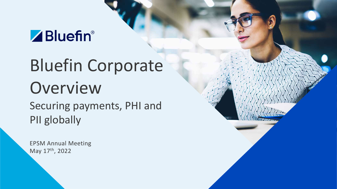# ZBluefin®

# Bluefin Corporate Overview Securing payments, PHI and PII globally

EPSM Annual Meeting May 17th, 2022

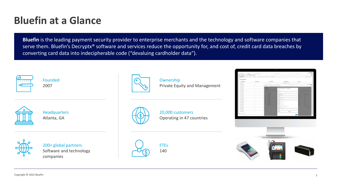

## **Bluefin at a Glance**

**Bluefin** is the leading payment security provider to enterprise merchants and the technology and software companies that serve them. Bluefin's Decryptx® software and services reduce the opportunity for, and cost of, credit card data breaches by converting card data into indecipherable code ("devaluing cardholder data").

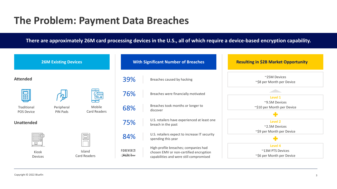## **The Problem: Payment Data Breaches**

#### **There are approximately 26M card processing devices in the U.S., all of which require a device-based encryption capability.**

| <b>26M Existing Devices</b>      |                               |                                      | <b>With Significant Number of Breaches</b>          |                                                                                                                           |  |
|----------------------------------|-------------------------------|--------------------------------------|-----------------------------------------------------|---------------------------------------------------------------------------------------------------------------------------|--|
| <b>Attended</b>                  |                               |                                      | 39%                                                 | Breaches caused by hacking                                                                                                |  |
|                                  |                               |                                      | 76%                                                 | Breaches were financially motivated                                                                                       |  |
| Traditional<br><b>POS Device</b> | Peripheral<br><b>PIN Pads</b> | <b>Mobile</b><br><b>Card Readers</b> | 68%                                                 | Breaches took months or longer to<br>discover                                                                             |  |
| <b>Unattended</b>                |                               |                                      | 75%                                                 | U.S. retailers have experienced at least one<br>breach in the past                                                        |  |
| шш<br>mm<br><b>THEFT</b>         |                               |                                      | 84%                                                 | U.S. retailers expect to increase IT security<br>spending this year                                                       |  |
| Kiosk<br><b>Devices</b>          |                               | Island<br><b>Card Readers</b>        | <b>FOREVER 21</b><br><i><b>Saks Juth Axenue</b></i> | High-profile breaches; companies had<br>chosen EMV or non-certified encryption<br>capabilities and were still compromised |  |

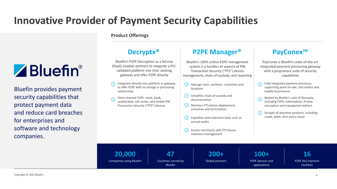# **Innovative Provider of Payment Security Capabilities**

# ZBluefin®

Bluefin provides payment security capabilities that protect payment data and reduce card breaches for enterprises and software and technology companies.

#### **Product Offerings**

### **PayConex™**

PayConex is Bluefin's state-of-the-art integrated payment processing gateway with a proprietary suite of security capabilities

## **P2PE Manager®**

Bluefin's 100% online P2PE management system is a handles all aspects of PIN Transaction Security ("PTS") device management, chain of custody, and reporting

### **Decryptx®**

- $(\lambda)$ **locations**
- $\langle \rangle$  Simplifies chain of custody and documentation
- Monitors PTS device deployment, activation and termination
	- Expedites time-intensive tasks such as annual audits
	- inventory management

Bluefin's P2PE Decryption as a Service (DaaS) enables partners to integrate a PCIvalidated platform into their existing gateway and offer P2PE directly

> **47** Countries served by **Bluefin**



**16** P2PE Key Injection **Facilities** 

Manage users, partners, customers and

- Integrates directly into platform or gateway to offer P2PE with no change in processing relationship
- Omni-channel P2PE: retail, kiosk, unattended, call center, and mobile PIN Transaction Security ("PTS") devices

Assists merchants with PTS device

- Fully integrated payment processor, supporting point-of-sale, call centers and mobile Ecommerce
- Backed by Bluefin's suite of Decryptx, including P2PE, tokenization, iFrame encryption and transparent redirect
- Accepts all payment products, including  $(>)$ credit, debit, ACH and e-check

**20,000** Companies using Bluefin

#### **200+** Global partners

### **100+**

P2PE devices and applications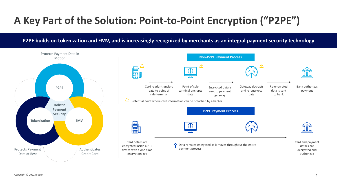# **A Key Part of the Solution: Point-to-Point Encryption ("P2PE")**

### **P2PE builds on tokenization and EMV, and is increasingly recognized by merchants as an integral payment security technology**

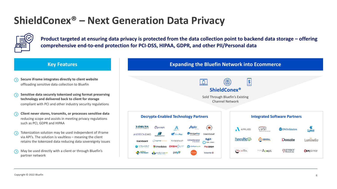



## **ShieldConex® – Next Generation Data Privacy**



**Product targeted at ensuring data privacy is protected from the data collection point to backend data storage – offering comprehensive end-to-end protection for PCI-DSS, HIPAA, GDPR, and other PII/Personal data**

- **Secure iFrame integrates directly to client website** offloading sensitive data collection to Bluefin
- **Sensitive data securely tokenized using format preserving technology and delivered back to client for storage**  compliant with PCI and other industry security regulations
- **Client never stores, transmits, or processes sensitive data** reducing scope and assists in meeting privacy regulations such as PCI, GDPR and HIPAA
- Tokenization solution may be used independent of iFrame via API's. The solution is vaultless – meaning the client retains the tokenized data reducing data sovereignty issues
- May be used directly with a client or through Bluefin's partner network



#### **ShieldConex®**

Sold Through Bluefin's Existing Channel Network

|             | <b>Integrated Software Partners</b> |                |                           |                         |  |  |
|-------------|-------------------------------------|----------------|---------------------------|-------------------------|--|--|
| 医皮肤<br>aud' | APPLIED                             |                | <b>2</b> CPASiteSolutions | <b>D<sub>x</sub>Web</b> |  |  |
| <b>IGO</b>  | <b>FuneralNet<sup>D</sup></b>       | <b>GENERAL</b> | <i>i</i> Donate           | Luminello <sup>®</sup>  |  |  |
| an<br>€     | (MICAHTEK                           | mobile A lept  | manergy<br>HomeCare       | <b>Ben</b> planner      |  |  |